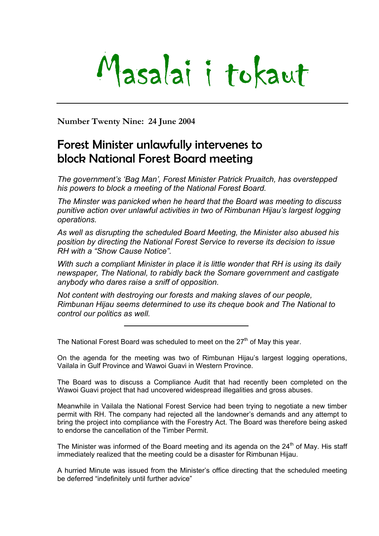# Masalai i tokaut

**Number Twenty Nine: 24 June 2004** 

### Forest Minister unlawfully intervenes to block National Forest Board meeting

*The government's 'Bag Man', Forest Minister Patrick Pruaitch, has overstepped his powers to block a meeting of the National Forest Board.* 

*The Minster was panicked when he heard that the Board was meeting to discuss punitive action over unlawful activities in two of Rimbunan Hijau's largest logging operations.* 

*As well as disrupting the scheduled Board Meeting, the Minister also abused his position by directing the National Forest Service to reverse its decision to issue RH with a "Show Cause Notice".* 

*With such a compliant Minister in place it is little wonder that RH is using its daily newspaper, The National, to rabidly back the Somare government and castigate anybody who dares raise a sniff of opposition.* 

*Not content with destroying our forests and making slaves of our people, Rimbunan Hijau seems determined to use its cheque book and The National to control our politics as well.* 

The National Forest Board was scheduled to meet on the  $27<sup>th</sup>$  of May this year.

On the agenda for the meeting was two of Rimbunan Hijau's largest logging operations, Vailala in Gulf Province and Wawoi Guavi in Western Province.

The Board was to discuss a Compliance Audit that had recently been completed on the Wawoi Guavi project that had uncovered widespread illegalities and gross abuses.

Meanwhile in Vailala the National Forest Service had been trying to negotiate a new timber permit with RH. The company had rejected all the landowner's demands and any attempt to bring the project into compliance with the Forestry Act. The Board was therefore being asked to endorse the cancellation of the Timber Permit.

The Minister was informed of the Board meeting and its agenda on the  $24<sup>th</sup>$  of May. His staff immediately realized that the meeting could be a disaster for Rimbunan Hijau.

A hurried Minute was issued from the Minister's office directing that the scheduled meeting be deferred "indefinitely until further advice"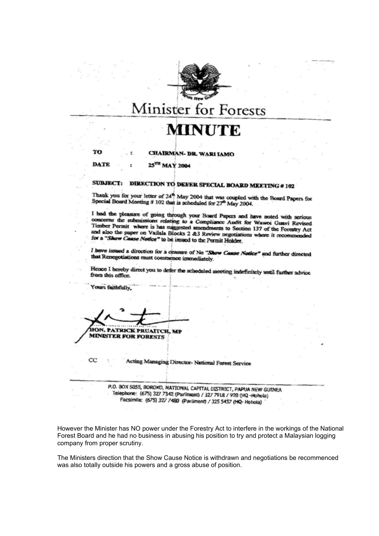

## Minister for Forests

## **MINUTE**

m

#### CHAIRMAN- DR. WARI IAMO

25TH MAY 2004 **DATE** 

#### **SUBJECT:** DIRECTION TO DEFER SPECIAL BOARD MEETING # 102

Thank you for your letter of  $24^{\circ}$  May 2004 that was coupled with the Board Papers for Special Board Meeting # 102 that is scheduled for  $27^{\circ}$  May 2004.

I had the pleasure of going through your Board Papers and have noted with serious concerns the submissions relating to a Compliance Audit for Wawoi Guavi Revised Timber Permit where is has suggested amendments to Section 137 of the Forestry Act and also the paper on Vailala Blocks 2 &3 Review negotiations where it recommended for a "Show Cause Notice" to be issued to the Permit Holder.

I have issued a direction for a ceasure of No "Show Cause Notice" and further directed that Renegotiations must commence immediately.

Hence I hereby direct you to defer the scheduled meeting indefinitely until further advice from this office.

HON. PATRICK PRUAITCH, MP **MINISTER FOR FORESTS** 

Yours faithfully.

 $_{\rm CC}$ 

Acting Managing Director-National Forest Service

P.O. BOX 5055, BOROKO, NATIONAL CAPITAL DISTRICT, PAPUA NEW GUINEA Telephone: (675) 327 7342 (Parliment) / 327 7918 / 920 (HQ -Hohola) Facsimile: (675) 327 7480 (Parliment) / 325 5457 (HQ- Hohola)

However the Minister has NO power under the Forestry Act to interfere in the workings of the National Forest Board and he had no business in abusing his position to try and protect a Malaysian logging company from proper scrutiny.

The Ministers direction that the Show Cause Notice is withdrawn and negotiations be recommenced was also totally outside his powers and a gross abuse of position.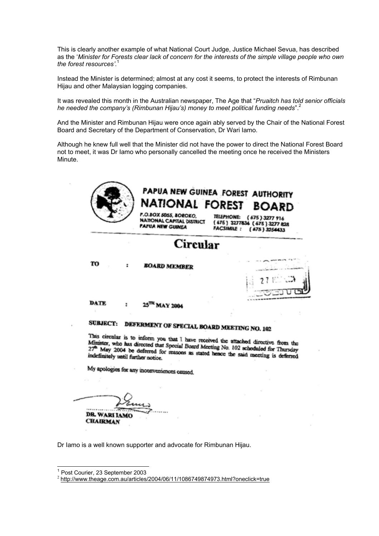This is clearly another example of what National Court Judge, Justice Michael Sevua, has described as the '*Minister for Forests clear lack of concern for the interests of the simple village people who own the forest resources'*. [1](#page-2-0)

Instead the Minister is determined; almost at any cost it seems, to protect the interests of Rimbunan Hijau and other Malaysian logging companies.

It was revealed this month in the Australian newspaper, The Age that "*Pruaitch has told senior officials he needed the company's (Rimbunan Hijau's) money to meet political funding needs*".[2](#page-2-1)

And the Minister and Rimbunan Hijau were once again ably served by the Chair of the National Forest Board and Secretary of the Department of Conservation, Dr Wari Iamo.

Although he knew full well that the Minister did not have the power to direct the National Forest Board not to meet, it was Dr Iamo who personally cancelled the meeting once he received the Ministers Minute.

|                                    | Circular                                                                                                                                                                    |                                                                                                |
|------------------------------------|-----------------------------------------------------------------------------------------------------------------------------------------------------------------------------|------------------------------------------------------------------------------------------------|
| TO                                 | <b>BOARD MEMBER</b>                                                                                                                                                         |                                                                                                |
|                                    |                                                                                                                                                                             |                                                                                                |
| DATE                               | 25 <sup>TH</sup> MAY 2004                                                                                                                                                   |                                                                                                |
| <b>SUBJECT:</b>                    | DEFERMENT OF SPECIAL BOARD MEETING NO. 102                                                                                                                                  |                                                                                                |
|                                    | This circular is to inform you that I have received the attached directive from the<br>Minister, who has directed that Special Board Meeting No. 102 scheduled for Thursday | 27 <sup>th</sup> May 2004 be deferred for reasons as stated hence the said meeting is deferred |
| indefinitely until further notice. |                                                                                                                                                                             |                                                                                                |

Dr Iamo is a well known supporter and advocate for Rimbunan Hijau.

 $\mathcal{L}$ 

<span id="page-2-0"></span><sup>&</sup>lt;sup>1</sup> Post Courier, 23 September 2003

<span id="page-2-1"></span> $P^2$  <http://www.theage.com.au/articles/2004/06/11/1086749874973.html?oneclick=true>